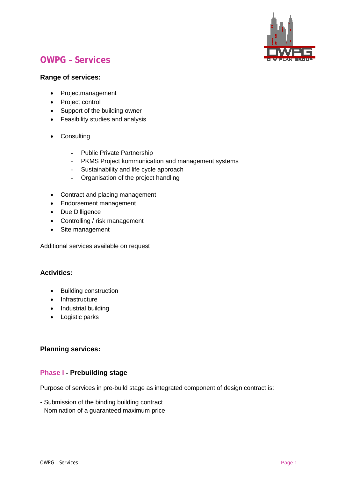

# **OWPG – Services**

#### **Range of services:**

- Projectmanagement
- Project control
- Support of the building owner
- Feasibility studies and analysis
- Consulting
	- Public Private Partnership
	- PKMS Project kommunication and management systems
	- Sustainability and life cycle approach
	- Organisation of the project handling
- Contract and placing management
- Endorsement management
- Due Dilligence
- Controlling / risk management
- Site management

Additional services available on request

#### **Activities:**

- Building construction
- Infrastructure
- Industrial building
- Logistic parks

#### **Planning services:**

#### **Phase I - Prebuilding stage**

Purpose of services in pre-build stage as integrated component of design contract is:

- Submission of the binding building contract
- Nomination of a guaranteed maximum price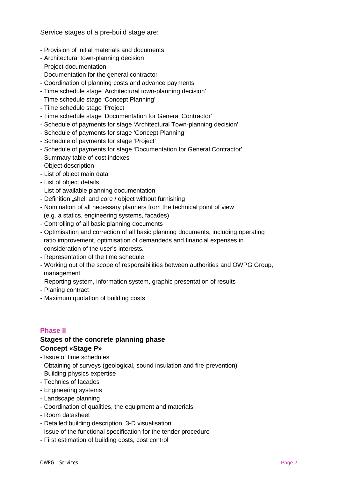Service stages of a pre-build stage are:

- Provision of initial materials and documents
- Architectural town-planning decision
- Project documentation
- Documentation for the general contractor
- Coordination of planning costs and advance payments
- Time schedule stage 'Architectural town-planning decision'
- Time schedule stage 'Concept Planning'
- Time schedule stage 'Project'
- Time schedule stage 'Documentation for General Contractor'
- Schedule of payments for stage 'Architectural Town-planning decision'
- Schedule of payments for stage 'Concept Planning'
- Schedule of payments for stage 'Project'
- Schedule of payments for stage 'Documentation for General Contractor'
- Summary table of cost indexes
- Object description
- List of object main data
- List of object details
- List of available planning documentation
- Definition "shell and core / object without furnishing
- Nomination of all necessary planners from the technical point of view (e.g. a statics, engineering systems, facades)
- Controlling of all basic planning documents
- Optimisation and correction of all basic planning documents, including operating ratio improvement, optimisation of demandeds and financial expenses in consideration of the user's interests.
- Representation of the time schedule.
- Working out of the scope of responsibilities between authorities and OWPG Group, management
- Reporting system, information system, graphic presentation of results
- Planing contract
- Maximum quotation of building costs

#### **Phase II**

#### **Stages of the concrete planning phase Concept «Stage P»**

- Issue of time schedules
- Obtaining of surveys (geological, sound insulation and fire-prevention)
- Building physics expertise
- Technics of facades
- Engineering systems
- Landscape planning
- Coordination of qualities, the equipment and materials
- Room datasheet
- Detailed building description, 3-D visualisation
- Issue of the functional specification for the tender procedure
- First estimation of building costs, cost control